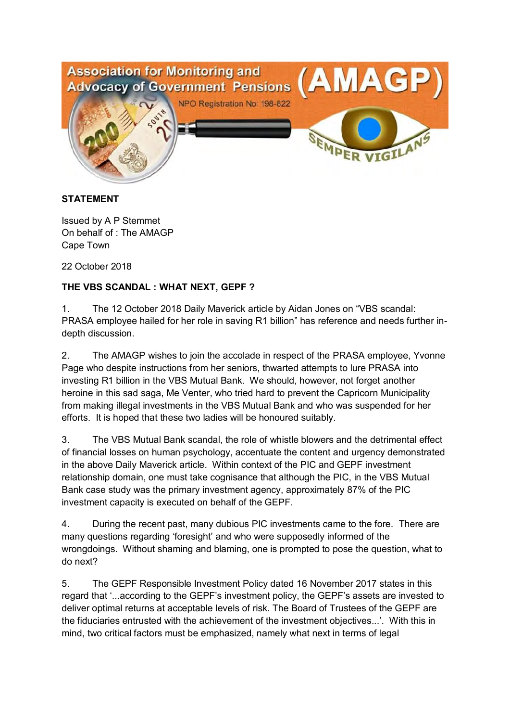

## **STATEMENT**

Issued by A P Stemmet On behalf of : The AMAGP Cape Town

22 October 2018

## **THE VBS SCANDAL : WHAT NEXT, GEPF ?**

1. The 12 October 2018 Daily Maverick article by Aidan Jones on "VBS scandal: PRASA employee hailed for her role in saving R1 billion" has reference and needs further indepth discussion.

2. The AMAGP wishes to join the accolade in respect of the PRASA employee, Yvonne Page who despite instructions from her seniors, thwarted attempts to lure PRASA into investing R1 billion in the VBS Mutual Bank. We should, however, not forget another heroine in this sad saga, Me Venter, who tried hard to prevent the Capricorn Municipality from making illegal investments in the VBS Mutual Bank and who was suspended for her efforts. It is hoped that these two ladies will be honoured suitably.

3. The VBS Mutual Bank scandal, the role of whistle blowers and the detrimental effect of financial losses on human psychology, accentuate the content and urgency demonstrated in the above Daily Maverick article. Within context of the PIC and GEPF investment relationship domain, one must take cognisance that although the PIC, in the VBS Mutual Bank case study was the primary investment agency, approximately 87% of the PIC investment capacity is executed on behalf of the GEPF.

4. During the recent past, many dubious PIC investments came to the fore. There are many questions regarding 'foresight' and who were supposedly informed of the wrongdoings. Without shaming and blaming, one is prompted to pose the question, what to do next?

5. The GEPF Responsible Investment Policy dated 16 November 2017 states in this regard that '...according to the GEPF's investment policy, the GEPF's assets are invested to deliver optimal returns at acceptable levels of risk. The Board of Trustees of the GEPF are the fiduciaries entrusted with the achievement of the investment objectives...'. With this in mind, two critical factors must be emphasized, namely what next in terms of legal